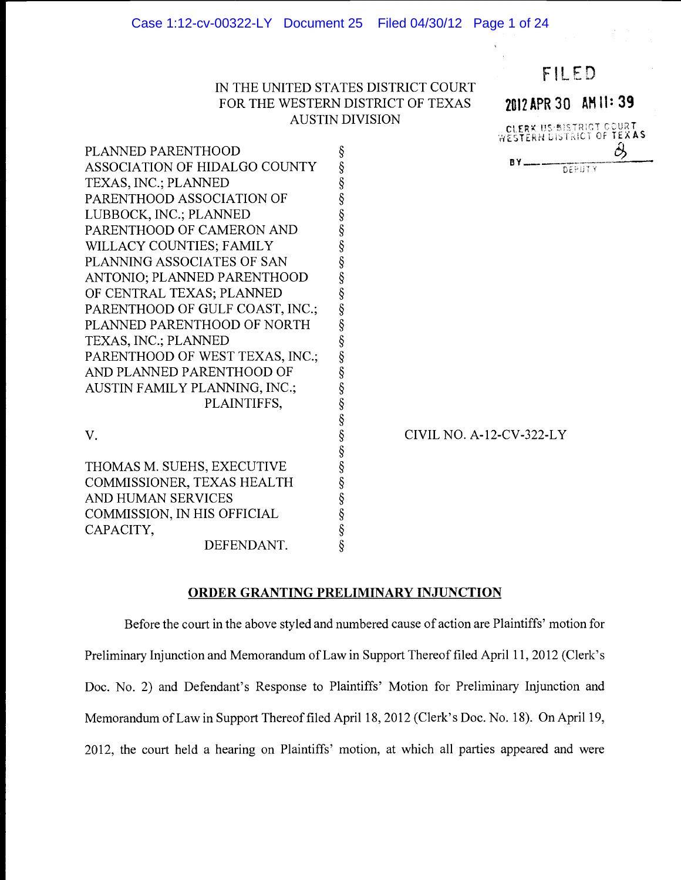# IN THE UNITED STATES DISTRICT COURT FOR THE WESTERN DISTRICT OF TEXAS AUSTIN DIVISION



PLANNED PARENTHOOD \$<br>
ASSOCIATION OF HIDALGO COUNTY \$<br>
TEXAS, INC.; PLANNED \$<br>
PARENTHOOD ASSOCIATION OF \$<br>
LUBBOCK, INC.; PLANNED \$<br>
PARENTHOOD OF CAMERON AND \$<br>
WILLACY COUNTIES; FAMILY \$<br>
PLANNING ASSOCIATES OF SAN \$<br>
A ASSOCIATION OF HIDALGO COUNTY TEXAS, INC.; PLANNED PARENTHOOD ASSOCIATION OF LUBBOCK, INC.; PLANNED PARENTHOOD OF CAMERON AND WILLACY COUNTIES; FAMILY PLANNING ASSOCIATES OF SAN ANTONIO; PLANNED PARENTHOOD OF CENTRAL TEXAS; PLANNED PARENTHOOD OF GULF COAST, INC.; PLANNED PARENTHOOD OF NORTH TEXAS, INC.; PLANNED PARENTHOOD OF WEST TEXAS, INC.; AND PLANNED PARENTHOOD OF AUSTIN FAMILY PLANNING, INC.; PLAINTIFFS, § V. S § THOMAS M. SUEHS, EXECUTIVE COMMISSIONER, TEXAS HEALTH

AND HUMAN SERVICES

COMMISSION, IN HIS OFFICIAL

CAPACITY,  $\S$ <br>DEFENDANT.  $\S$ 

DEFENDANT.

CIVIL NO. A-12-CV-322-LY

# ORDER GRANTING PRELIMINARY INJUNCTION

Before the court in the above styled and numbered cause of action are Plaintiffs' motion for Preliminary Injunction and Memorandum of Law in Support Thereof filed April 11, 2012 (Clerk's Doc. No. 2) and Defendant's Response to Plaintiffs' Motion for Preliminary Injunction and Memorandum of Law in Support Thereof filed April 18, 2012 (Clerk's Doc. No. 18). On April 19, 2012, the court held a hearing on Plaintiffs' motion, at which all parties appeared and were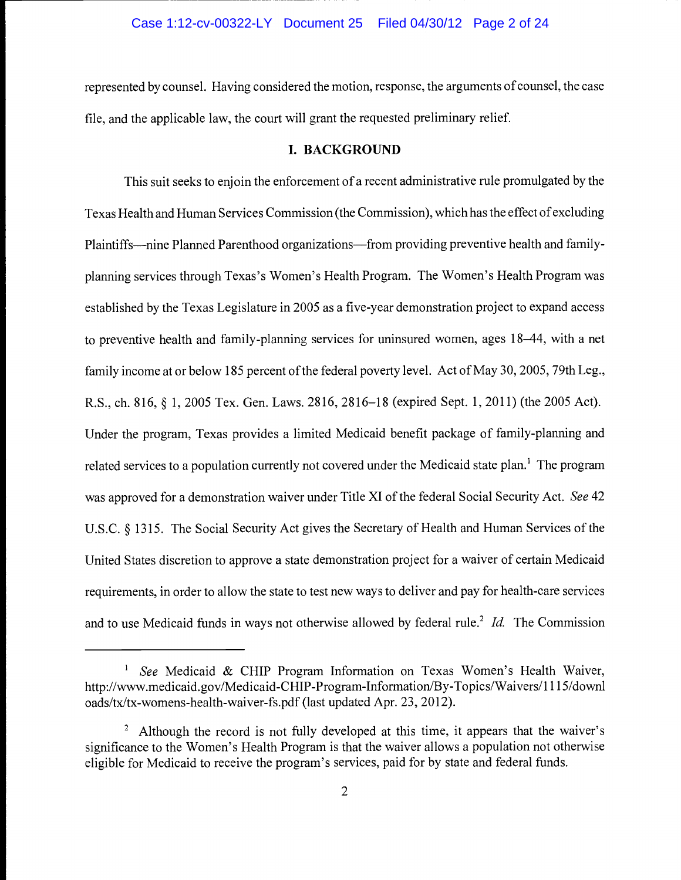# Case 1:12-cv-00322-LY Document 25 Filed 04/30/12 Page 2 of 24

represented by counsel. Having considered the motion, response, the arguments of counsel, the case file, and the applicable law, the court will grant the requested preliminary relief.

# I. BACKGROUND

This suit seeks to enjoin the enforcement of a recent administrative rule promulgated by the Texas Health and Human Services Commission (the Commission), which has the effect of excluding Plaintiffs—nine Planned Parenthood organizations—from providing preventive health and familyplanning services through Texas's Women's Health Program. The Women's Health Program was established by the Texas Legislature in 2005 as a five-year demonstration project to expand access to preventive health and family-planning services for uninsured women, ages 18-44, with a net family income at or below 185 percent of the federal poverty level. Act of May 30, 2005, 79th Leg., R.S., ch. 816, § 1,2005 Tex. Gen. Laws. 2816, 2816-18 (expired Sept. 1,2011) (the 2005 Act). Under the program, Texas provides a limited Medicaid benefit package of family-planning and related services to a population currently not covered under the Medicaid state plan.<sup>1</sup> The program was approved for a demonstration waiver under Title XI of the federal Social Security Act. See 42 U.S.C. § 1315. The Social Security Act gives the Secretary of Health and Human Services of the United States discretion to approve a state demonstration project for a waiver of certain Medicaid requirements, in order to allow the state to test new ways to deliver and pay for health-care services and to use Medicaid funds in ways not otherwise allowed by federal rule.<sup>2</sup> Id. The Commission

<sup>&</sup>lt;sup>1</sup> See Medicaid & CHIP Program Information on Texas Women's Health Waiver, http://www.medicaid.gov/Medicaid-CHIP-Program-Information/By-Topics/Waivers/1115/downl oads/tx/tx-womens-health-waiver-fs.pdf (last updated Apr. 23, 2012).

<sup>&</sup>lt;sup>2</sup> Although the record is not fully developed at this time, it appears that the waiver's significance to the Women's Health Program is that the waiver allows a population not otherwise eligible for Medicaid to receive the program's services, paid for by state and federal funds.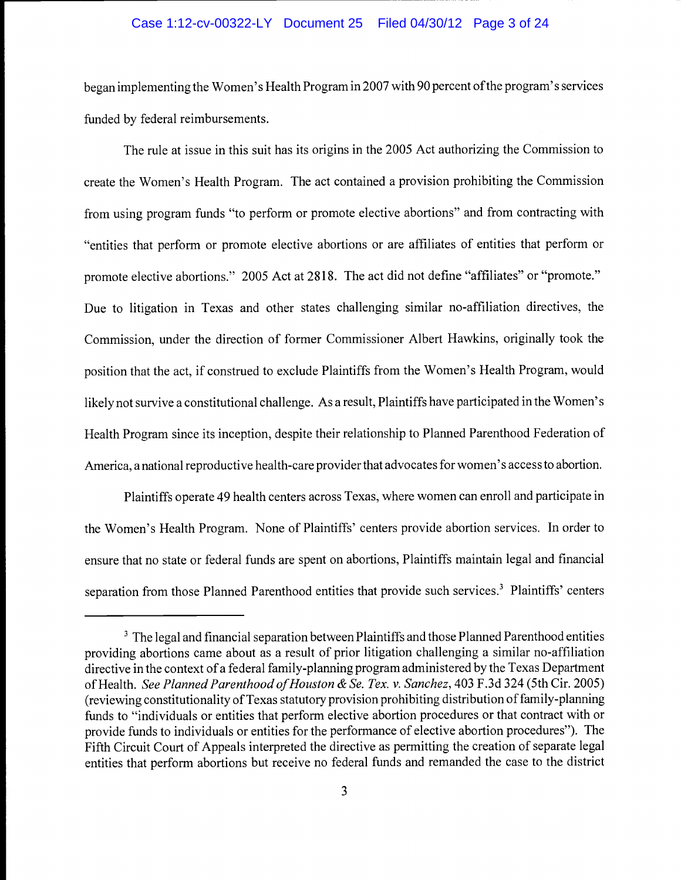### Case 1:12-cv-00322-LY Document 25 Filed 04/30/12 Page 3 of 24

began implementing the Women's Health Program in 2007 with 90 percent of the program's services funded by federal reimbursements.

The rule at issue in this suit has its origins in the 2005 Act authorizing the Commission to create the Women's Health Program. The act contained a provision prohibiting the Commission from using program funds "to perform or promote elective abortions" and from contracting with "entities that perform or promote elective abortions or are affiliates of entities that perform or promote elective abortions." 2005 Act at 2818. The act did not define "affiliates" or "promote." Due to litigation in Texas and other states challenging similar no-affiliation directives, the Commission, under the direction of former Commissioner Albert Hawkins, originally took the position that the act, if construed to exclude Plaintiffs from the Women's Health Program, would likely not survive a constitutional challenge. As a result, Plaintiffs have participated in the Women's Health Program since its inception, despite their relationship to Planned Parenthood Federation of America, a national reproductive health-care provider that advocates for women's access to abortion.

Plaintiffs operate 49 health centers across Texas, where women can enroll and participate in the Women's Health Program. None of Plaintiffs' centers provide abortion services. In order to ensure that no state or federal funds are spent on abortions, Plaintiffs maintain legal and financial separation from those Planned Parenthood entities that provide such services.<sup>3</sup> Plaintiffs' centers

<sup>&</sup>lt;sup>3</sup> The legal and financial separation between Plaintiffs and those Planned Parenthood entities providing abortions came about as a result of prior litigation challenging a similar no-affiliation directive in the context of a federal family-planning program administered by the Texas Department of Health. See Planned Parenthood of Houston & Se. Tex. v. Sanchez, 403 F.3d 324 (5th Cir. 2005) (reviewing constitutionality of Texas statutory provision prohibiting distribution of family-planning funds to "individuals or entities that perform elective abortion procedures or that contract with or provide funds to individuals or entities for the performance of elective abortion procedures"). The Fifth Circuit Court of Appeals interpreted the directive as permitting the creation of separate legal entities that perform abortions but receive no federal funds and remanded the case to the district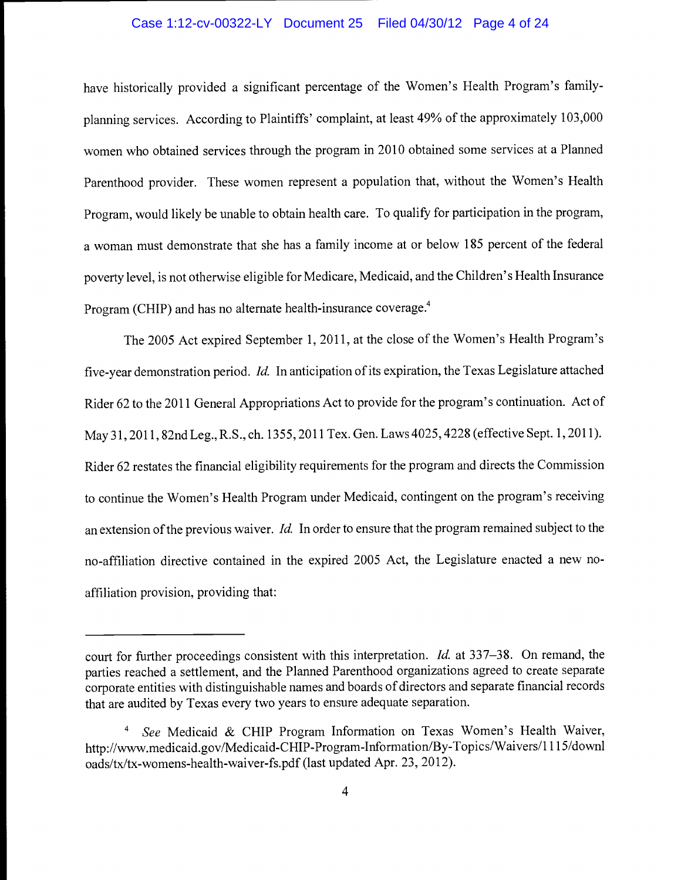### Case 1:12-cv-00322-LY Document 25 Filed 04/30/12 Page 4 of 24

have historically provided a significant percentage of the Women's Health Program's familyplanning services. According to Plaintiffs' complaint, at least 49% of the approximately 103,000 women who obtained services through the program in 2010 obtained some services at a Planned Parenthood provider. These women represent a population that, without the Women's Health Program, would likely be unable to obtain health care. To qualify for participation in the program, a woman must demonstrate that she has a family income at or below 185 percent of the federal poverty level, is not otherwise eligible for Medicare, Medicaid, and the Children's Health Insurance Program (CHIP) and has no alternate health-insurance coverage.<sup>4</sup>

The 2005 Act expired September 1, 2011, at the close of the Women's Health Program's five-year demonstration period. Id. In anticipation of its expiration, the Texas Legislature attached Rider 62 to the 2011 General Appropriations Act to provide for the program's continuation. Act of May 31, 2011, 82nd Leg., R.S., ch. 1355, 2011 Tex. Gen. Laws 4025, 4228 (effective Sept. 1, 2011). Rider 62 restates the financial eligibility requirements for the program and directs the Commission to continue the Women's Health Program under Medicaid, contingent on the program's receiving an extension of the previous waiver. Id. In order to ensure that the program remained subject to the no-affiliation directive contained in the expired 2005 Act, the Legislature enacted a new noaffiliation provision, providing that:

court for further proceedings consistent with this interpretation. *Id.* at 337–38. On remand, the parties reached a settlement, and the Planned Parenthood organizations agreed to create separate corporate entities with distinguishable names and boards of directors and separate financial records that are audited by Texas every two years to ensure adequate separation.

See Medicaid & CHIP Program Information on Texas Women's Health Waiver,  $\overline{4}$ http://www.medicaid.gov/Medicaid-CHIP-Program-Information/By-Topics/Waivers/1115/downl oads/tx/tx-womens-health-waiver-fs.pdf (last updated Apr. 23, 2012).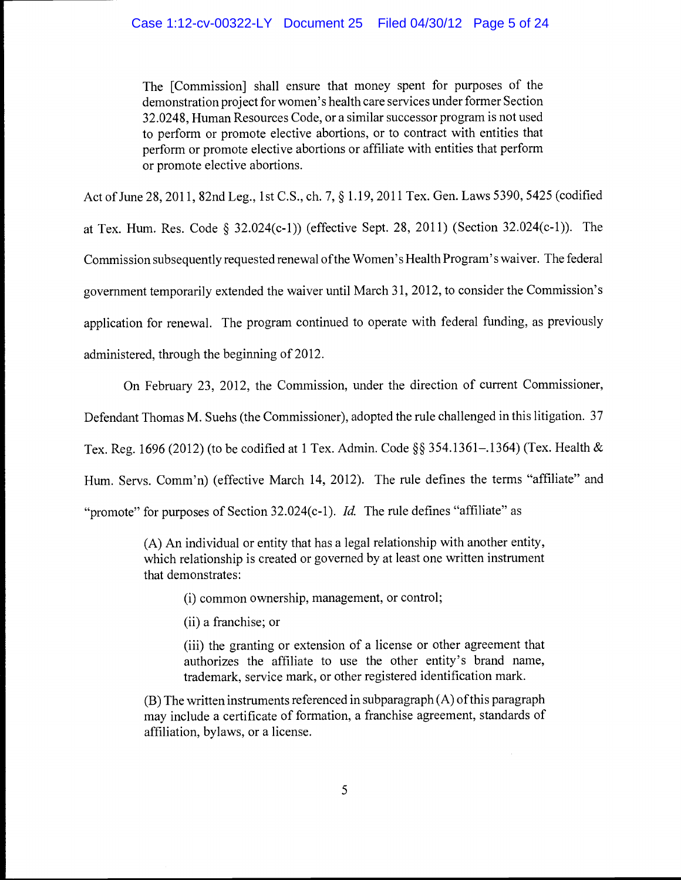The [Commission] shall ensure that money spent for purposes of the demonstration project for women's health care services under former Section 32.0248, Human Resources Code, or a similar successor program is not used to perform or promote elective abortions, or to contract with entities that perform or promote elective abortions or affiliate with entities that perform or promote elective abortions.

Act of June 28, 2011, 82nd Leg., 1st C.S., ch. 7, § 1.19,2011 Tex. Gen. Laws 5390, 5425 (codified at Tex. Hum. Res. Code § 32.024(c-1)) (effective Sept. 28, 2011) (Section 32.024(c-1)). The Commission subsequently requested renewal of the Women's Health Program's waiver. The federal government temporarily extended the waiver until March 31, 2012, to consider the Commission's application for renewal. The program continued to operate with federal funding, as previously administered, through the beginning of 2012.

On February 23, 2012, the Commission, under the direction of current Commissioner,

Defendant Thomas M. Suehs (the Commissioner), adopted the rule challenged in this litigation. 37

Tex. Reg. 1696 (2012) (to be codified at 1 Tex. Admin. Code §§ 354.1361–.1364) (Tex. Health &

Hum. Servs. Comm'n) (effective March 14, 2012). The rule defines the terms "affiliate" and

"promote" for purposes of Section  $32.024(c-1)$ . *Id.* The rule defines "affiliate" as

(A) An individual or entity that has a legal relationship with another entity, which relationship is created or governed by at least one written instrument that demonstrates:

(i) common ownership, management, or control;

(ii) a franchise; or

(iii) the granting or extension of a license or other agreement that authorizes the affiliate to use the other entity's brand name, trademark, service mark, or other registered identification mark.

(B) The written instruments referenced in subparagraph (A) of this paragraph may include a certificate of formation, a franchise agreement, standards of affiliation, bylaws, or a license.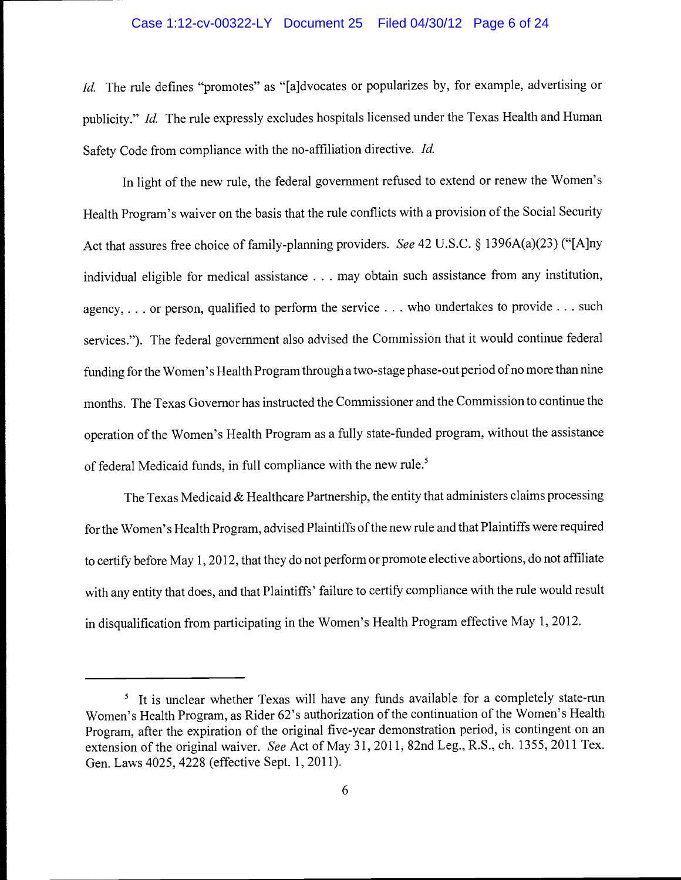### Case 1:12-cv-00322-LY Document 25 Filed 04/30/12 Page 6 of 24

Id. The rule defines "promotes" as "[a]dvocates or popularizes by, for example, advertising or publicity." Id. The rule expressly excludes hospitals licensed under the Texas Health and Human Safety Code from compliance with the no-affiliation directive. Id.

In light of the new rule, the federal government refused to extend or renew the Women's Health Program's waiver on the basis that the rule conflicts with a provision of the Social Security Act that assures free choice of family-planning providers. See 42 U.S.C. § 1396A(a)(23) ("[A]ny individual eligible for medical assistance . . . may obtain such assistance from any institution, agency,. . . or person, qualified to perform the service. . . who undertakes to provide. . . such services."). The federal government also advised the Commission that it would continue federal funding for the Women's Health Program through a two-stage phase-out period of no more than nine months. The Texas Governor has instructed the Commissioner and the Commission to continue the operation of the Women's Health Program as a fully state-funded program, without the assistance of federal Medicaid funds, in full compliance with the new rule.<sup>5</sup>

The Texas Medicaid & Healthcare Partnership, the entity that administers claims processing for the Women's Health Program, advised Plaintiffs of the new rule and that Plaintiffs were required to certify before May 1, 2012, that they do not perform or promote elective abortions, do not affiliate with any entity that does, and that Plaintiffs' failure to certify compliance with the rule would result in disqualification from participating in the Women's Health Program effective May 1, 2012.

<sup>&</sup>lt;sup>5</sup> It is unclear whether Texas will have any funds available for a completely state-run Women's Health Program, as Rider 62's authorization of the continuation of the Women's Health Program, after the expiration of the original five-year demonstration period, is contingent on an extension of the original waiver. See Act of May 31, 2011, 82nd Leg., R.S., ch. 1355, 2011 Tex. Gen. Laws 4025, 4228 (effective Sept. 1, 2011).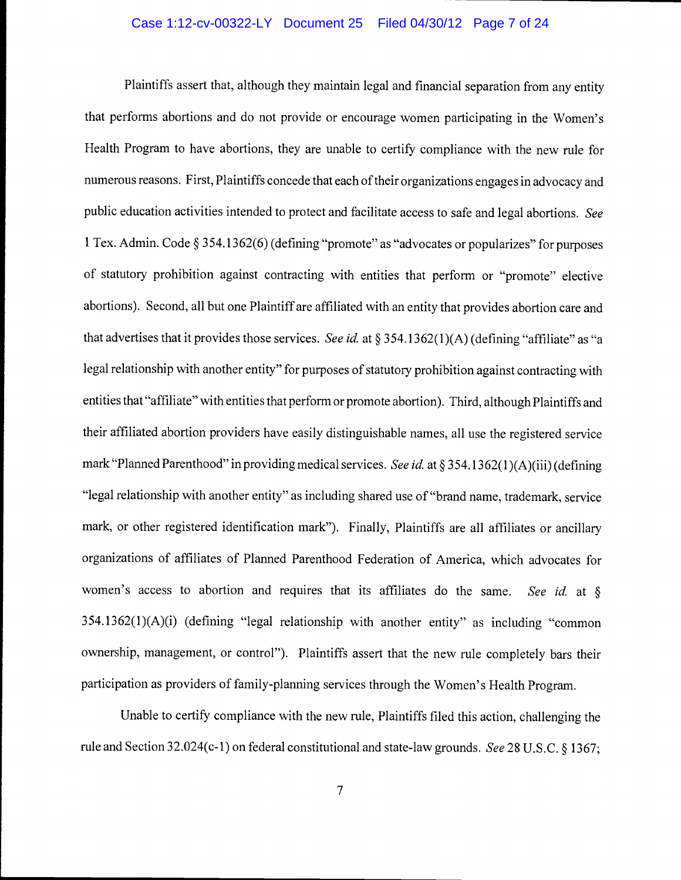# Case 1:12-cv-00322-LY Document 25 Filed 04/30/12 Page 7 of 24

Plaintiffs assert that, although they maintain legal and financial separation from any entity that performs abortions and do not provide or encourage women participating in the Women's Health Program to have abortions, they are unable to certify compliance with the new rule for numerous reasons. First, Plaintiffs concede that each of their organizations engages in advocacy and public education activities intended to protect and facilitate access to safe and legal abortions. See <sup>1</sup>Tex. Admin. Code § 354.1362(6) (defining "promote" as "advocates or popularizes" for purposes of statutory prohibition against contracting with entities that perform or "promote" elective abortions). Second, all but one Plaintiff are affiliated with an entity that provides abortion care and that advertises that it provides those services. See id. at § 354.1362(1)(A) (defining "affiliate" as "a legal relationship with another entity" for purposes of statutory prohibition against contracting with entities that "affiliate" with entities that perform or promote abortion). Third, although Plaintiffs and their affiliated abortion providers have easily distinguishable names, all use the registered service mark "Planned Parenthood" in providing medical services. See id. at § 354.1362(1)(A)(iii) (defining "legal relationship with another entity" as including shared use of "brand name, trademark, service mark, or other registered identification mark"). Finally, Plaintiffs are all affiliates or ancillary organizations of affiliates of Planned Parenthood Federation of America, which advocates for women's access to abortion and requires that its affiliates do the same. See id. at  $\delta$ 354.1362(1)(A)(i) (defining "legal relationship with another entity" as including "common ownership, management, or control"). Plaintiffs assert that the new rule completely bars their participation as providers of family-planning services through the Women's Health Program.

Unable to certify compliance with the new rule, Plaintiffs filed this action, challenging the rule and Section 32.024(c-1) on federal constitutional and state-law grounds. See 28 U.S.C. § 1367;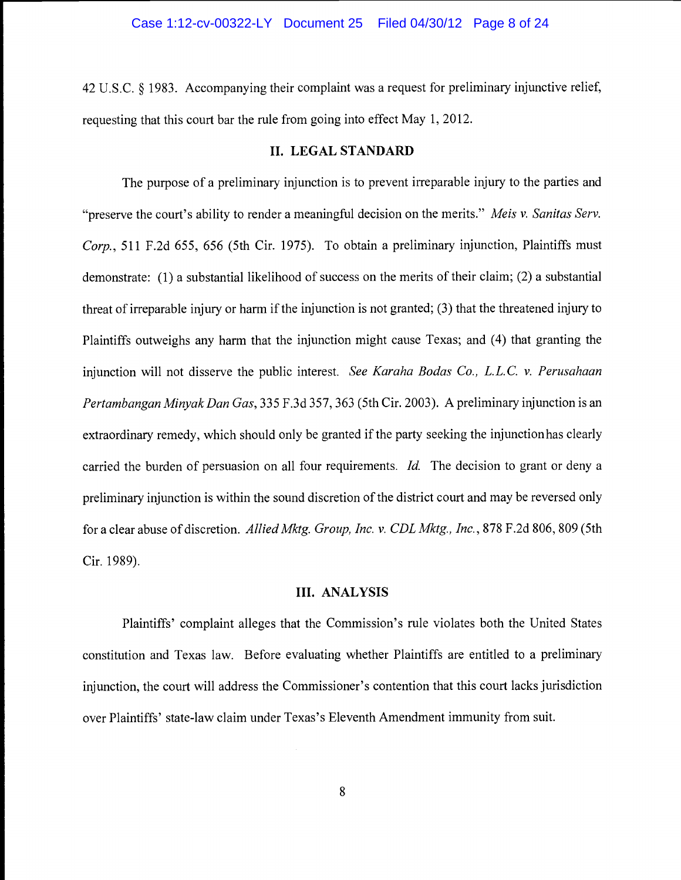42 U.S.C. § 1983. Accompanying their complaint was a request for preliminary injunctive relief, requesting that this court bar the rule from going into effect May 1, 2012.

#### II. LEGAL STANDARD

The purpose of a preliminary injunction is to prevent irreparable injury to the parties and "preserve the court's ability to render a meaningful decision on the merits." Meis v. Sanitas Serv. Corp., 511 F.2d 655, 656 (5th Cir. 1975). To obtain a preliminary injunction, Plaintiffs must demonstrate: (1) a substantial likelihood of success on the merits of their claim; (2) a substantial threat of irreparable injury or harm if the injunction is not granted; (3) that the threatened injury to Plaintiffs outweighs any harm that the injunction might cause Texas; and (4) that granting the injunction will not disserve the public interest. See Karaha Bodas Co., L.L.C. v. Perusahaan Pertambangan Minyak Dan Gas, 335 F.3d 357, 363 (5th Cir. 2003). A preliminary injunction is an extraordinary remedy, which should only be granted if the party seeking the injunction has clearly carried the burden of persuasion on all four requirements. Id. The decision to grant or deny a preliminary injunction is within the sound discretion of the district court and may be reversed only for a clear abuse of discretion. Allied Mktg. Group, Inc. v. CDL Mktg., Inc., 878 F.2d 806, 809 (5th Cir. 1989).

#### III. ANALYSIS

Plaintiffs' complaint alleges that the Commission's rule violates both the United States constitution and Texas law. Before evaluating whether Plaintiffs are entitled to a preliminary injunction, the court will address the Commissioner's contention that this court lacks jurisdiction over Plaintiffs' state-law claim under Texas's Eleventh Amendment immunity from suit.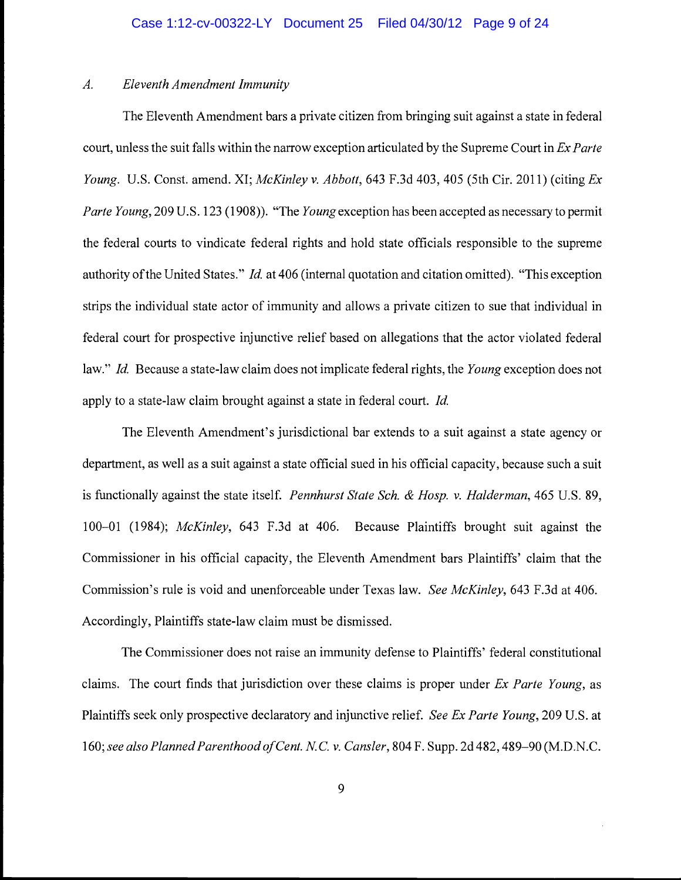# A. Eleventh Amendment Immunity

The Eleventh Amendment bars a private citizen from bringing suit against a state in federal court, unless the suit falls within the narrow exception articulated by the Supreme Court in Ex Parte Young. U.S. Const. amend. XI; McKinley v. Abbott, 643 F.3d 403, 405 (5th Cir. 2011) (citing Ex Parte Young, 209 U.S. 123 (1908)). "The Young exception has been accepted as necessary to permit the federal courts to vindicate federal rights and hold state officials responsible to the supreme authority of the United States." Id. at 406 (internal quotation and citation omitted). "This exception strips the individual state actor of immunity and allows a private citizen to sue that individual in federal court for prospective injunctive relief based on allegations that the actor violated federal law." Id. Because a state-law claim does not implicate federal rights, the Young exception does not apply to a state-law claim brought against a state in federal court. Id.

The Eleventh Amendment's jurisdictional bar extends to a suit against a state agency or department, as well as a suit against a state official sued in his official capacity, because such a suit is functionally against the state itself. *Pennhurst State Sch. & Hosp. v. Halderman*, 465 U.S. 89, 100-01 (1984); McKinley, 643 F.3d at 406. Because Plaintiffs brought suit against the Commissioner in his official capacity, the Eleventh Amendment bars Plaintiffs' claim that the Commission's rule is void and unenforceable under Texas law. See McKinley, 643 F.3d at 406. Accordingly, Plaintiffs state-law claim must be dismissed.

The Commissioner does not raise an immunity defense to Plaintiffs' federal constitutional claims. The court finds that jurisdiction over these claims is proper under  $Ex$  Parte Young, as Plaintiffs seek only prospective declaratory and injunctive relief. See Ex Parte Young, 209 U.S. at 160; see also Planned Parenthood of Cent. N.C. v. Cansler, 804 F. Supp. 2d 482, 489-90 (M.D.N.C.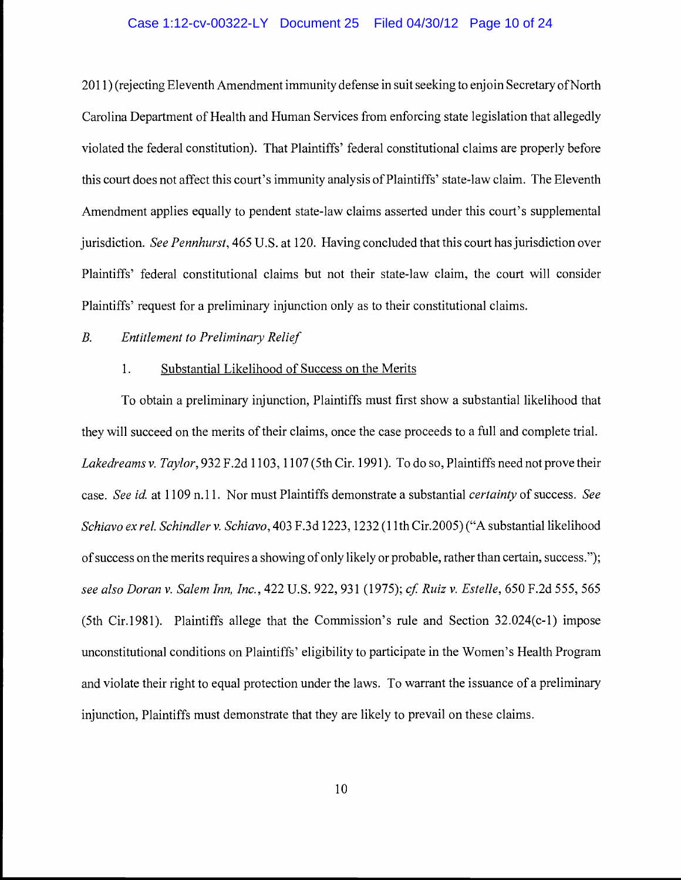#### Case 1:12-cv-00322-LY Document 25 Filed 04/30/12 Page 10 of 24

2011) (rejecting Eleventh Amendment immunity defense in suit seeking to enjoin Secretary of North Carolina Department of Health and Human Services from enforcing state legislation that allegedly violated the federal constitution). That Plaintiffs' federal constitutional claims are properly before this court does not affect this court's immunity analysis of Plaintiffs' state-law claim. The Eleventh Amendment applies equally to pendent state-law claims asserted under this court's supplemental jurisdiction. See Pennhurst, 465 U.S. at 120. Having concluded that this court has jurisdiction over Plaintiffs' federal constitutional claims but not their state-law claim, the court will consider Plaintiffs' request for a preliminary injunction only as to their constitutional claims.

# B. Entitlement to Preliminary Relief

# 1. Substantial Likelihood of Success on the Merits

To obtain a preliminary injunction, Plaintiffs must first show a substantial likelihood that they will succeed on the merits of their claims, once the case proceeds to a full and complete trial. Lakedreams v. Taylor, 932 F.2d 1103, 1107 (5th Cir. 1991). To do so, Plaintiffs need not prove their case. See id. at 1109 n.11. Nor must Plaintiffs demonstrate a substantial *certainty* of success. See Schiavo ex rel. Schindler v. Schiavo, 403 F.3d 1223, 1232(11th Cir.2005) ("A substantial likelihood of success on the merits requires a showing of only likely or probable, rather than certain, success."); see also Doran v. Salem Inn, Inc., 422 U.S. 922, 931 (1975); cf. Ruiz v. Estelle, 650 F.2d 555, 565 (5th Cir.1981). Plaintiffs allege that the Commission's rule and Section 32.024(c-1) impose unconstitutional conditions on Plaintiffs' eligibility to participate in the Women's Health Program and violate their right to equal protection under the laws. To warrant the issuance of a preliminary injunction, Plaintiffs must demonstrate that they are likely to prevail on these claims.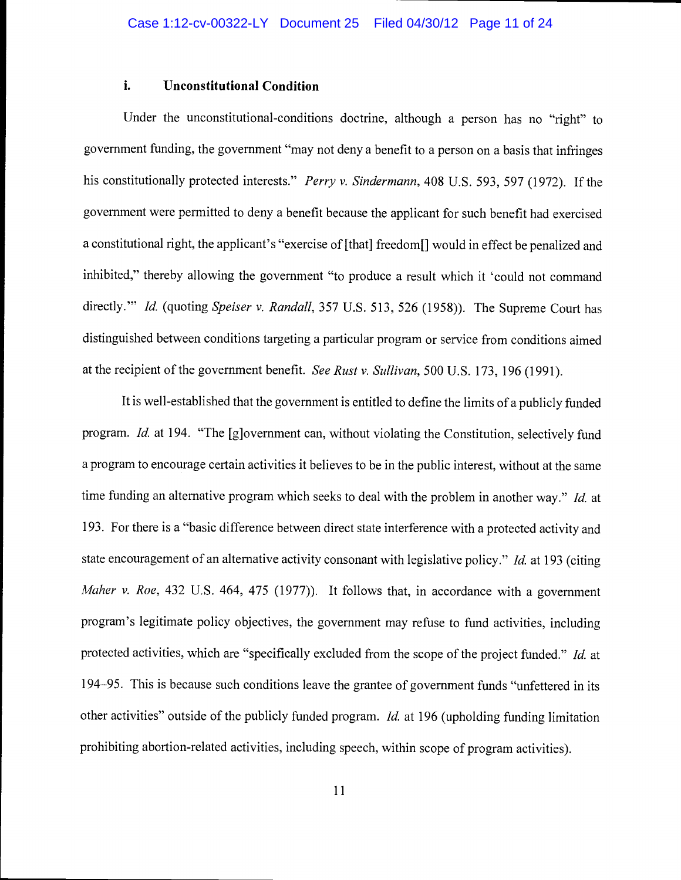# i. Unconstitutional Condition

Under the unconstitutional-conditions doctrine, although a person has no "right" to government funding, the government "may not deny a benefit to a person on a basis that infringes his constitutionally protected interests." Perry v. Sindermann, 408 U.S. 593, 597 (1972). If the government were permitted to deny a benefit because the applicant for such benefit had exercised a constitutional right, the applicant's "exercise of [that] freedom[] would in effect be penalized and inhibited," thereby allowing the government "to produce a result which it 'could not command directly." *Id.* (quoting *Speiser v. Randall*, 357 U.S. 513, 526 (1958)). The Supreme Court has distinguished between conditions targeting a particular program or service from conditions aimed at the recipient of the government benefit. See Rust v. Sullivan, 500 U.S. 173, 196 (1991).

It is well-established that the government is entitled to define the limits of a publicly funded program. Id. at 194. "The [g]overnment can, without violating the Constitution, selectively fund a program to encourage certain activities it believes to be in the public interest, without at the same time funding an alternative program which seeks to deal with the problem in another way." Id. at 193. For there is a "basic difference between direct state interference with a protected activity and state encouragement of an alternative activity consonant with legislative policy." *Id.* at 193 (citing Maher v. Roe, 432 U.S. 464, 475 (1977)). It follows that, in accordance with a government program's legitimate policy objectives, the government may refuse to fund activities, including protected activities, which are "specifically excluded from the scope of the project funded." Id. at 194-95. This is because such conditions leave the grantee of government funds "unfettered in its other activities" outside of the publicly funded program. Id. at 196 (upholding funding limitation prohibiting abortion-related activities, including speech, within scope of program activities).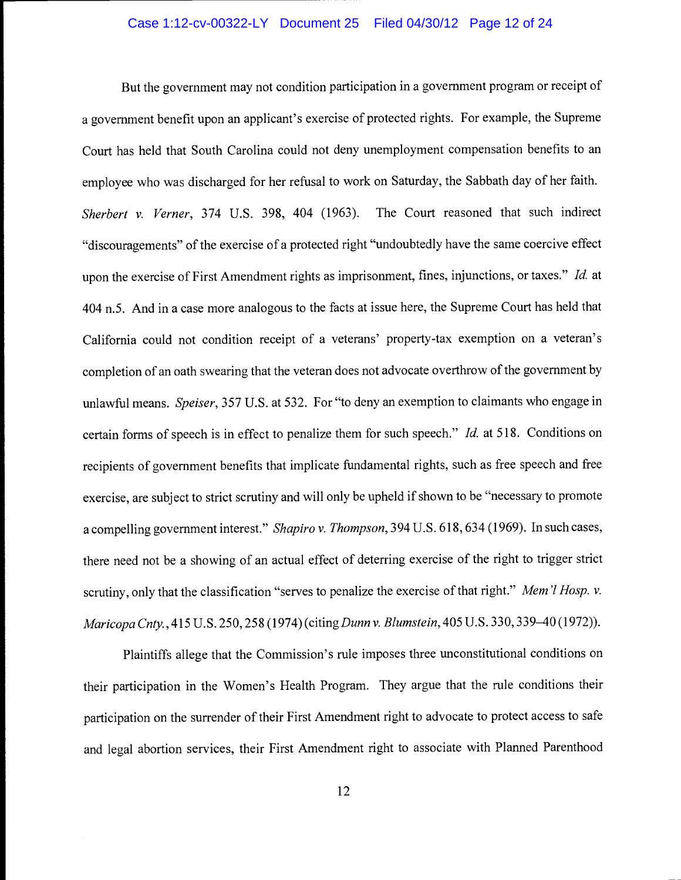### Case 1:12-cv-00322-LY Document 25 Filed 04/30/12 Page 12 of 24

But the government may not condition participation in a government program or receipt of a government benefit upon an applicant's exercise of protected rights. For example, the Supreme Court has held that South Carolina could not deny unemployment compensation benefits to an employee who was discharged for her refusal to work on Saturday, the Sabbath day of her faith. Sherbert v. Verner, 374 U.S. 398, 404 (1963). The Court reasoned that such indirect "discouragements" of the exercise of a protected right "undoubtedly have the same coercive effect upon the exercise of First Amendment rights as imprisonment, fines, injunctions, or taxes." Id. at 404 n.5. And in a case more analogous to the facts at issue here, the Supreme Court has held that California could not condition receipt of a veterans' property-tax exemption on a veteran's completion of an oath swearing that the veteran does not advocate overthrow of the government by unlawful means. Speiser, 357 U.S. at 532. For "to deny an exemption to claimants who engage in certain forms of speech is in effect to penalize them for such speech." Id. at 518. Conditions on recipients of government benefits that implicate fundamental rights, such as free speech and free exercise, are subject to strict scrutiny and will only be upheld if shown to be "necessary to promote a compelling government interest." Shapiro v. Thompson, 394 U.S. 618, 634 (1969). In such cases, there need not be a showing of an actual effect of deterring exercise of the right to trigger strict scrutiny, only that the classification "serves to penalize the exercise of that right." Mem 'l Hosp. v. Maricopa Cntv., 415 U.S. 250, 258 (1974) (citing Dunn v. Blumstein, 405 U.S. 330, 339–40 (1972)).

Plaintiffs allege that the Commission's rule imposes three unconstitutional conditions on their participation in the Women's Health Program. They argue that the rule conditions their participation on the surrender of their First Amendment right to advocate to protect access to safe and legal abortion services, their First Amendment right to associate with Planned Parenthood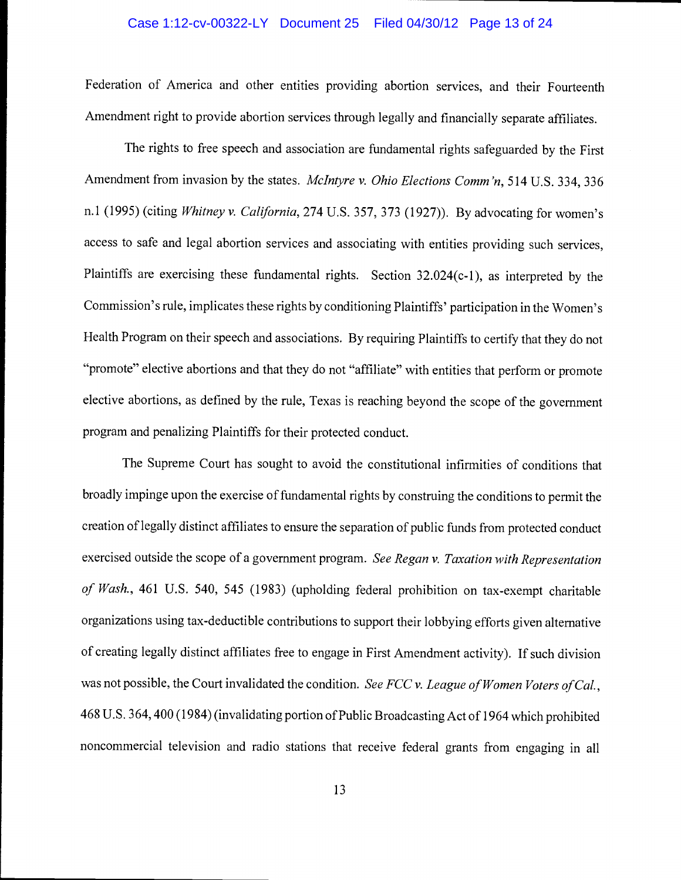#### Case 1:12-cv-00322-LY Document 25 Filed 04/30/12 Page 13 of 24

Federation of America and other entities providing abortion services, and their Fourteenth Amendment right to provide abortion services through legally and financially separate affiliates.

The rights to free speech and association are fundamental rights safeguarded by the First Amendment from invasion by the states. McIntyre v. Ohio Elections Comm'n, 514 U.S. 334, 336 n.1 (1995) (citing Whitney v. California, 274 U.S. 357, 373 (1927)). By advocating for women's access to safe and legal abortion services and associating with entities providing such services, Plaintiffs are exercising these fundamental rights. Section 32.024(c-1), as interpreted by the Commission's rule, implicates these rights by conditioning Plaintiffs' participation in the Women's Health Program on their speech and associations. By requiring Plaintiffs to certify that they do not "promote" elective abortions and that they do not "affiliate" with entities that perform or promote elective abortions, as defined by the rule, Texas is reaching beyond the scope of the government program and penalizing Plaintiffs for their protected conduct.

The Supreme Court has sought to avoid the constitutional infirmities of conditions that broadly impinge upon the exercise of fundamental rights by construing the conditions to permit the creation of legally distinct affiliates to ensure the separation of public funds from protected conduct exercised outside the scope of a government program. See Regan v. Taxation with Representation of Wash., 461 U.S. 540, 545 (1983) (upholding federal prohibition on tax-exempt charitable organizations using tax-deductible contributions to support their lobbying efforts given alternative of creating legally distinct affiliates free to engage in First Amendment activity). If such division was not possible, the Court invalidated the condition. See FCC v. League of Women Voters of Cal., 468 U.S. 364,400(1984) (invalidating portion of Public Broadcasting Act of 1964 which prohibited noncommercial television and radio stations that receive federal grants from engaging in all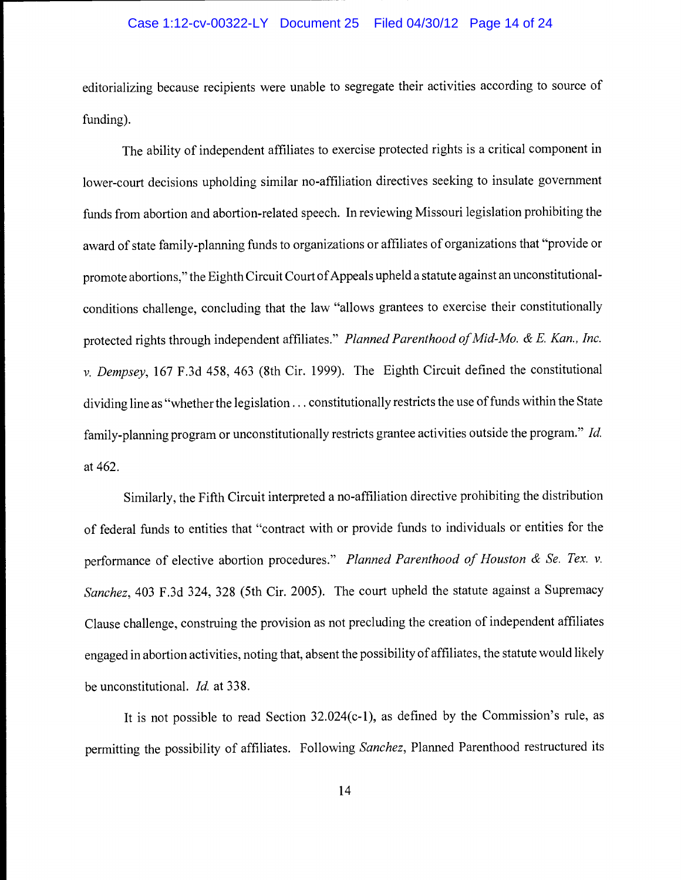#### Case 1:12-cv-00322-LY Document 25 Filed 04/30/12 Page 14 of 24

editorializing because recipients were unable to segregate their activities according to source of funding).

The ability of independent affiliates to exercise protected rights is a critical component in lower-court decisions upholding similar no-affiliation directives seeking to insulate government funds from abortion and abortion-related speech. In reviewing Missouri legislation prohibiting the award of state family-planning funds to organizations or affiliates of organizations that "provide or promote abortions," the Eighth Circuit Court of Appeals upheld a statute against an unconstitutionalconditions challenge, concluding that the law "allows grantees to exercise their constitutionally protected rights through independent affiliates." Planned Parenthood of Mid-Mo. & E. Kan., Inc. v. Dempsey, 167 F.3d 458, 463 (8th Cir. 1999). The Eighth Circuit defined the constitutional dividing line as "whether the legislation. . . constitutionally restricts the use of funds within the State family-planning program or unconstitutionally restricts grantee activities outside the program." Id. at 462.

Similarly, the Fifth Circuit interpreted a no-affiliation directive prohibiting the distribution of federal funds to entities that "contract with or provide funds to individuals or entities for the performance of elective abortion procedures." Planned Parenthood of Houston & Se. Tex. v. Sanchez, 403 F.3d 324, 328 (5th Cir. 2005). The court upheld the statute against a Supremacy Clause challenge, construing the provision as not precluding the creation of independent affiliates engaged in abortion activities, noting that, absent the possibility of affiliates, the statute would likely be unconstitutional. Id. at 338.

It is not possible to read Section 32.024(c-1), as defined by the Commission's rule, as permitting the possibility of affiliates. Following Sanchez, Planned Parenthood restructured its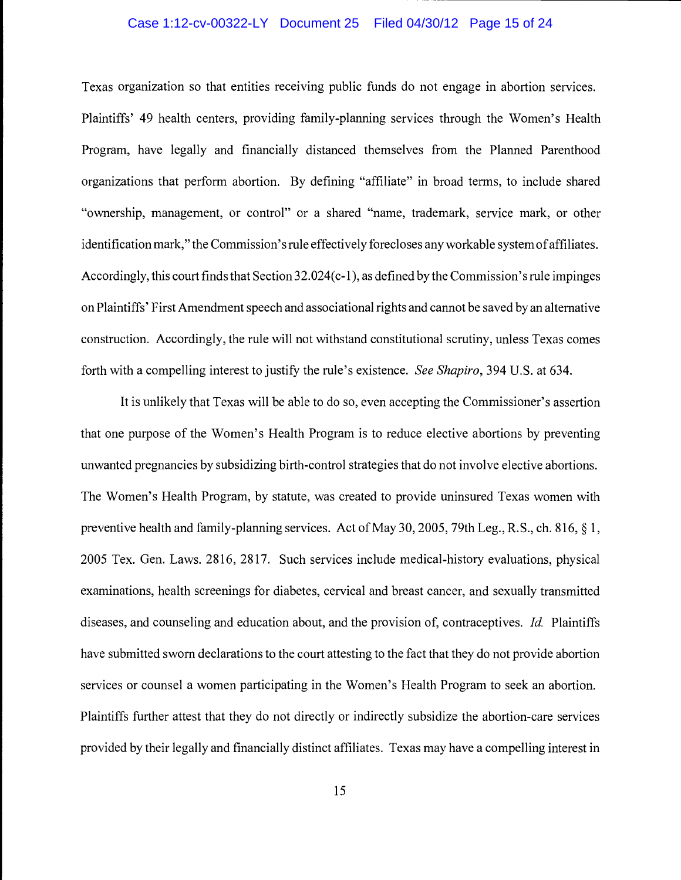#### Case 1:12-cv-00322-LY Document 25 Filed 04/30/12 Page 15 of 24

Texas organization so that entities receiving public funds do not engage in abortion services. Plaintiffs' 49 health centers, providing family-planning services through the Women's Health Program, have legally and financially distanced themselves from the Planned Parenthood organizations that perform abortion. By defining "affiliate" in broad terms, to include shared "ownership, management, or control" or a shared "name, trademark, service mark, or other identification mark," the Commission's rule effectively forecloses any workable system of affiliates. Accordingly, this court finds that Section 32.024(c-1), as defined by the Commission's rule impinges on Plaintiffs' First Amendment speech and associational rights and cannot be saved by an alternative construction. Accordingly, the rule will not withstand constitutional scrutiny, unless Texas comes forth with a compelling interest to justify the rule's existence. See Shapiro, 394 U.S. at 634.

It is unlikely that Texas will be able to do so, even accepting the Commissioner's assertion that one purpose of the Women's Health Program is to reduce elective abortions by preventing unwanted pregnancies by subsidizing birth-control strategies that do not involve elective abortions. The Women's Health Program, by statute, was created to provide uninsured Texas women with preventive health and family-planning services. Act of May 30, 2005, 79th Leg., R.S., ch. 816, § 1, 2005 Tex. Gen. Laws. 2816, 2817. Such services include medical-history evaluations, physical examinations, health screenings for diabetes, cervical and breast cancer, and sexually transmitted diseases, and counseling and education about, and the provision of, contraceptives. Id. Plaintiffs have submitted sworn declarations to the court attesting to the fact that they do not provide abortion services or counsel a women participating in the Women's Health Program to seek an abortion. Plaintiffs further attest that they do not directly or indirectly subsidize the abortion-care services provided by their legally and financially distinct affiliates. Texas may have a compelling interest in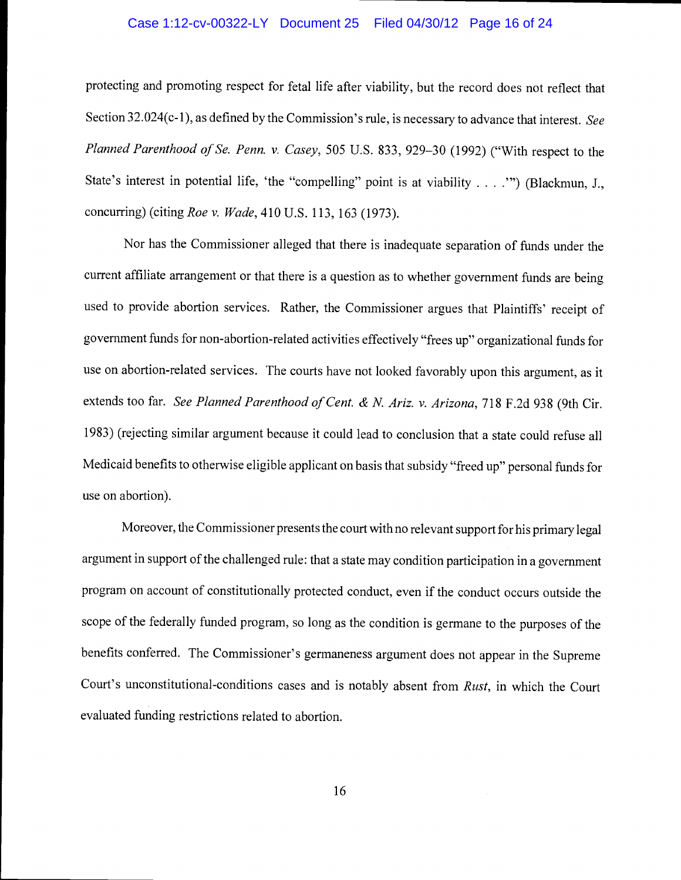#### Case 1:12-cv-00322-LY Document 25 Filed 04/30/12 Page 16 of 24

protecting and promoting respect for fetal life after viability, but the record does not reflect that Section 32.024(c-1), as defined by the Commission's rule, is necessary to advance that interest. See Planned Parenthood of Se. Penn. v. Casey, 505 U.S. 833, 929-30 (1992) ("With respect to the State's interest in potential life, 'the "compelling" point is at viability . . . ."") (Blackmun, J., concurring) (citing Roe v. Wade, 410 U.S. 113, 163 (1973).

Nor has the Commissioner alleged that there is inadequate separation of funds under the current affiliate arrangement or that there is a question as to whether government funds are being used to provide abortion services. Rather, the Commissioner argues that Plaintiffs' receipt of government funds for non-abortion-related activities effectively "frees up" organizational funds for use on abortion-related services. The courts have not looked favorably upon this argument, as it extends too far. See Planned Parenthood of Cent. & N. Ariz. v. Arizona, 718 F.2d 938 (9th Cir. 1983) (rejecting similar argument because it could lead to conclusion that a state could refuse all Medicaid benefits to otherwise eligible applicant on basis that subsidy "freed up" personal funds for use on abortion).

Moreover, the Commissioner presents the court with no relevant support for his primary legal argument in support of the challenged rule: that a state may condition participation in a government program on account of constitutionally protected conduct, even if the conduct occurs outside the scope of the federally funded program, so long as the condition is germane to the purposes of the benefits conferred. The Commissioner's germaneness argument does not appear in the Supreme Court's unconstitutional-conditions cases and is notably absent from Rust, in which the Court evaluated funding restrictions related to abortion.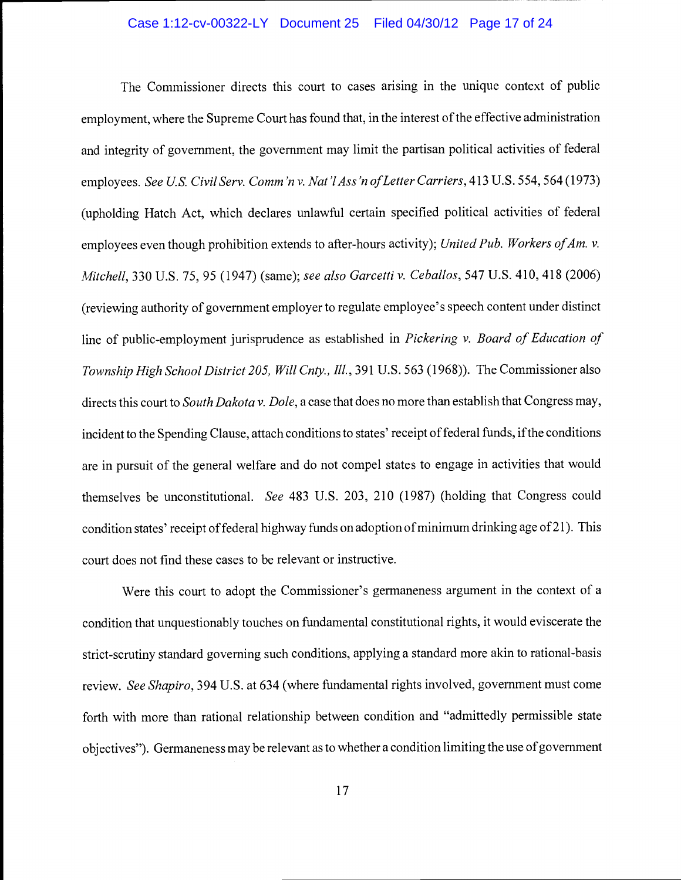#### Case 1:12-cv-00322-LY Document 25 Filed 04/30/12 Page 17 of 24

The Commissioner directs this court to cases arising in the unique context of public employment, where the Supreme Court has found that, in the interest of the effective administration and integrity of government, the government may limit the partisan political activities of federal employees. See U.S. Civil Serv. Comm'n v. Nat'l Ass'n of Letter Carriers, 413 U.S. 554, 564 (1973) (upholding Hatch Act, which declares unlawful certain specified political activities of federal employees even though prohibition extends to after-hours activity); United Pub. Workers of Am. v. Mitchell, 330 U.S. 75, 95 (1947) (same); see also Garcetti v. Ceballos, 547 U.S. 410, 418 (2006) (reviewing authority of government employer to regulate employee's speech content under distinct line of public-employment jurisprudence as established in Pickering v. Board of Education of Township High School District 205, Will Cnty., Ill., 391 U.S. 563 (1968)). The Commissioner also directs this court to *South Dakota v. Dole*, a case that does no more than establish that Congress may, incident to the Spending Clause, attach conditions to states' receipt of federal funds, if the conditions are in pursuit of the general welfare and do not compel states to engage in activities that would themselves be unconstitutional. See 483 U.S. 203, 210 (1987) (holding that Congress could condition states' receipt of federal highway funds on adoption of minimum drinking age of 21). This court does not find these cases to be relevant or instructive.

Were this court to adopt the Commissioner's germaneness argument in the context of a condition that unquestionably touches on fundamental constitutional rights, it would eviscerate the strict-scrutiny standard governing such conditions, applying a standard more akin to rational-basis review. See Shapiro, 394 U.S. at 634 (where fundamental rights involved, government must come forth with more than rational relationship between condition and "admittedly permissible state objectives"). Germaneness may be relevant as to whether a condition limiting the use of government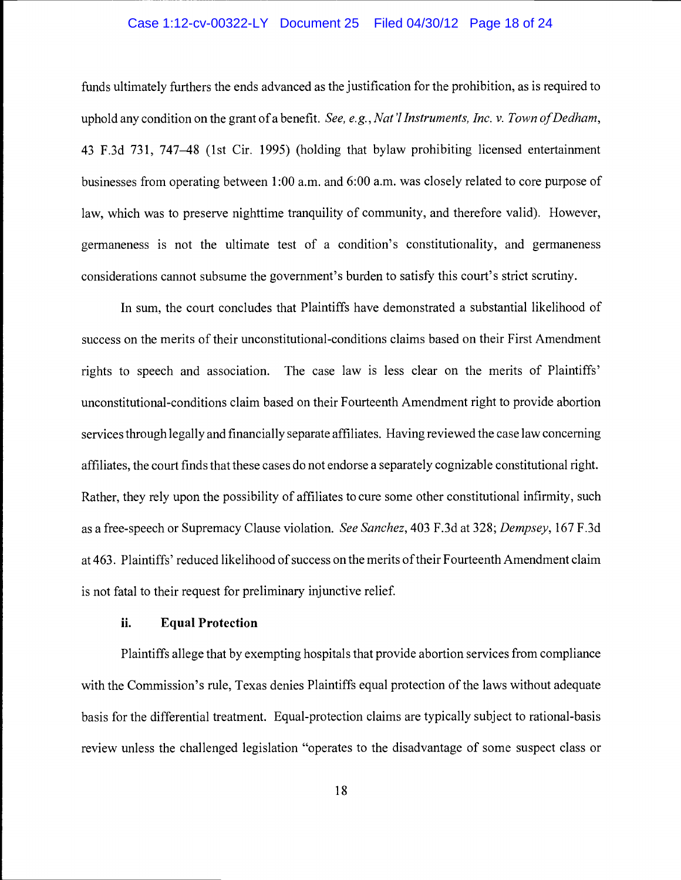#### Case 1:12-cv-00322-LY Document 25 Filed 04/30/12 Page 18 of 24

funds ultimately furthers the ends advanced as the justification for the prohibition, as is required to uphold any condition on the grant of a benefit. See, e.g., Nat'l Instruments, Inc. v. Town of Dedham, 43 F .3 d 731, 747-48 (1st Cir. 1995) (holding that bylaw prohibiting licensed entertainment businesses from operating between 1:00 a.m. and 6:00 a.m. was closely related to core purpose of law, which was to preserve nighttime tranquility of community, and therefore valid). However, germaneness is not the ultimate test of a condition's constitutionality, and germaneness considerations cannot subsume the government's burden to satisfy this court's strict scrutiny.

In sum, the court concludes that Plaintiffs have demonstrated a substantial likelihood of success on the merits of their unconstitutional-conditions claims based on their First Amendment rights to speech and association. The case law is less clear on the merits of Plaintiffs' unconstitutional-conditions claim based on their Fourteenth Amendment right to provide abortion services through legally and financially separate affiliates. Having reviewed the case law concerning affiliates, the court finds that these cases do not endorse a separately cognizable constitutional right. Rather, they rely upon the possibility of affiliates to cure some other constitutional infirmity, such as a free-speech or Supremacy Clause violation. See Sanchez, 403 F.3d at 328; Dempsey, 167 F.3d at 463. Plaintiffs' reduced likelihood of success on the merits of their Fourteenth Amendment claim is not fatal to their request for preliminary injunctive relief.

### ii. Equal Protection

Plaintiffs allege that by exempting hospitals that provide abortion services from compliance with the Commission's rule, Texas denies Plaintiffs equal protection of the laws without adequate basis for the differential treatment. Equal-protection claims are typically subject to rational-basis review unless the challenged legislation "operates to the disadvantage of some suspect class or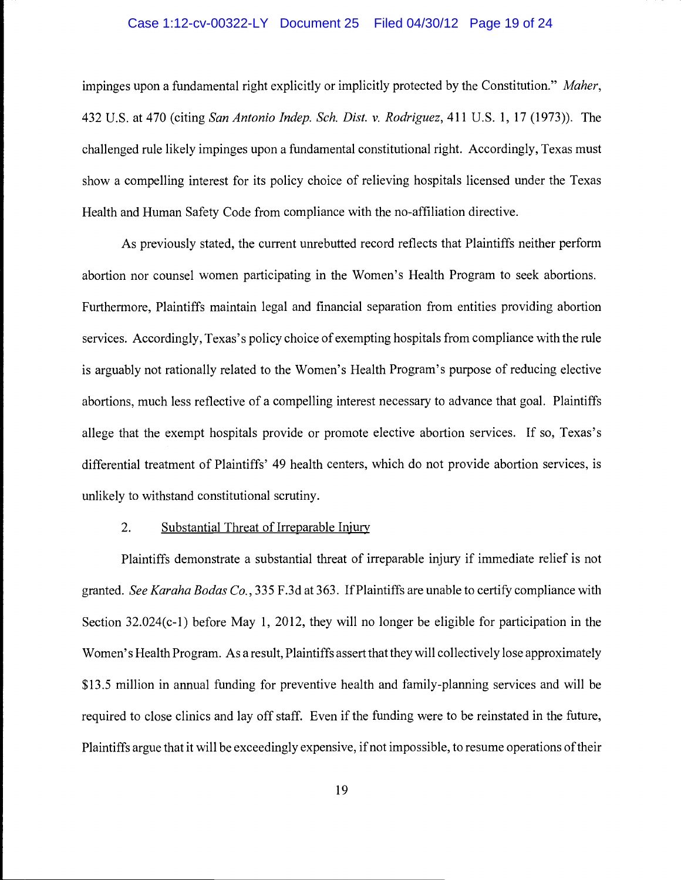#### Case 1:12-cv-00322-LY Document 25 Filed 04/30/12 Page 19 of 24

impinges upon a fundamental right explicitly or implicitly protected by the Constitution." Maher, 432 U.S. at 470 (citing San Antonio Indep. Sch. Dist. v. Rodriguez, 411 U.S. 1, 17 (1973)). The challenged rule likely impinges upon a fundamental constitutional right. Accordingly, Texas must show a compelling interest for its policy choice of relieving hospitals licensed under the Texas Health and Human Safety Code from compliance with the no-affiliation directive.

As previously stated, the current unrebutted record reflects that Plaintiffs neither perform abortion nor counsel women participating in the Women's Health Program to seek abortions. Furthermore, Plaintiffs maintain legal and financial separation from entities providing abortion services. Accordingly, Texas's policy choice of exempting hospitals from compliance with the rule is arguably not rationally related to the Women's Health Program's purpose of reducing elective abortions, much less reflective of a compelling interest necessary to advance that goal. Plaintiffs allege that the exempt hospitals provide or promote elective abortion services. If so, Texas's differential treatment of Plaintiffs' 49 health centers, which do not provide abortion services, is unlikely to withstand constitutional scrutiny.

# 2. Substantial Threat of Irreparable Injury

Plaintiffs demonstrate a substantial threat of irreparable injury if immediate relief is not granted. See Karaha Bodas Co., 335 F.3d at 363. If Plaintiffs are unable to certify compliance with Section 32.024(c-1) before May 1, 2012, they will no longer be eligible for participation in the Women's Health Program. As a result, Plaintiffs assert that they will collectively lose approximately \$13.5 million in annual funding for preventive health and family-planning services and will be required to close clinics and lay off staff. Even if the funding were to be reinstated in the future, Plaintiffs argue that it will be exceedingly expensive, if not impossible, to resume operations of their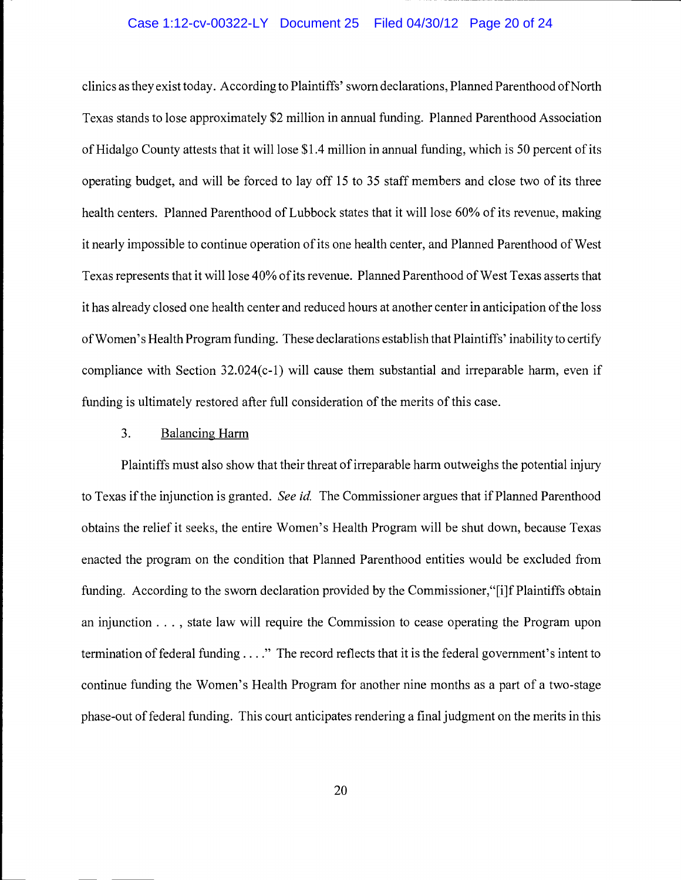#### Case 1:12-cv-00322-LY Document 25 Filed 04/30/12 Page 20 of 24

clinics as they exist today. According to Plaintiffs' sworn declarations, Planned Parenthood of North Texas stands to lose approximately \$2 million in annual funding. Planned Parenthood Association of Hidalgo County attests that it will lose \$1.4 million in annual funding, which is 50 percent of its operating budget, and will be forced to lay off 15 to 35 staff members and close two of its three health centers. Planned Parenthood of Lubbock states that it will lose 60% of its revenue, making it nearly impossible to continue operation of its one health center, and Planned Parenthood of West Texas represents that it will lose 40% of its revenue. Planned Parenthood of West Texas asserts that it has already closed one health center and reduced hours at another center in anticipation of the loss of Women's Health Program funding. These declarations establish that Plaintiffs' inability to certify compliance with Section 32.024(c-1) will cause them substantial and irreparable harm, even if funding is ultimately restored after full consideration of the merits of this case.

# 3. Balancing Harm

Plaintiffs must also show that their threat of irreparable harm outweighs the potential injury to Texas if the injunction is granted. See id. The Commissioner argues that if Planned Parenthood obtains the relief it seeks, the entire Women's Health Program will be shut down, because Texas enacted the program on the condition that Planned Parenthood entities would be excluded from funding. According to the sworn declaration provided by the Commissioner,"[i]f Plaintiffs obtain an injunction . . . , state law will require the Commission to cease operating the Program upon termination of federal funding.. . ." The record reflects that it is the federal government's intent to continue funding the Women's Health Program for another nine months as a part of a two-stage phase-out of federal funding. This court anticipates rendering a final judgment on the merits in this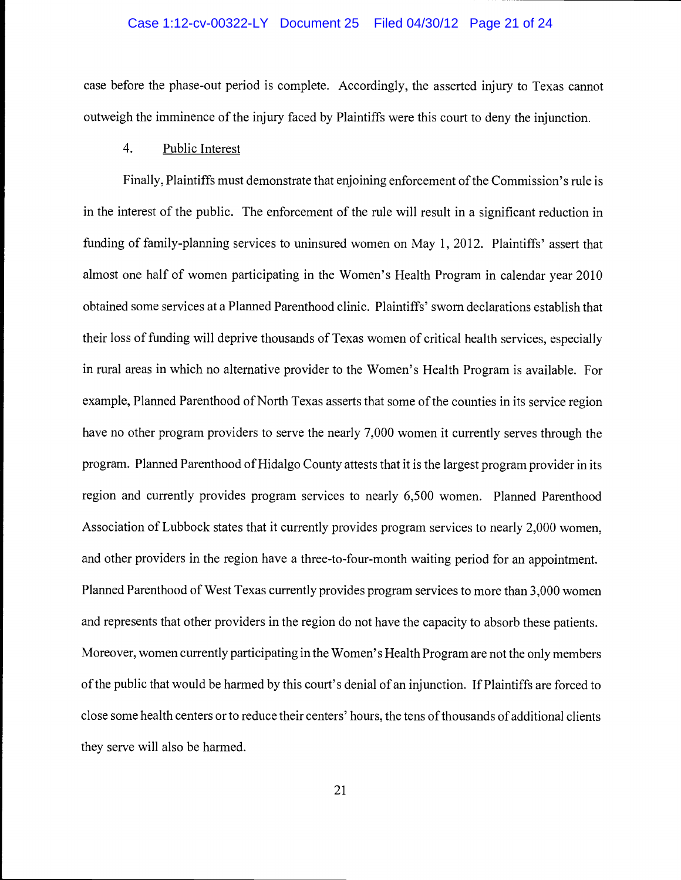#### Case 1:12-cv-00322-LY Document 25 Filed 04/30/12 Page 21 of 24

case before the phase-out period is complete. Accordingly, the asserted injury to Texas cannot outweigh the imminence of the injury faced by Plaintiffs were this court to deny the injunction.

# 4. Public Interest

Finally, Plaintiffs must demonstrate that enjoining enforcement of the Commission's rule is in the interest of the public. The enforcement of the rule will result in a significant reduction in funding of family-planning services to uninsured women on May 1, 2012. Plaintiffs' assert that almost one half of women participating in the Women's Health Program in calendar year 2010 obtained some services at a Planned Parenthood clinic. Plaintiffs' sworn declarations establish that their loss of funding will deprive thousands of Texas women of critical health services, especially in rural areas in which no alternative provider to the Women's Health Program is available. For example, Planned Parenthood of North Texas asserts that some of the counties in its service region have no other program providers to serve the nearly 7,000 women it currently serves through the program. Planned Parenthood of Hidalgo County attests that it is the largest program provider in its region and currently provides program services to nearly 6,500 women. Planned Parenthood Association of Lubbock states that it currently provides program services to nearly 2,000 women, and other providers in the region have a three-to-four-month waiting period for an appointment. Planned Parenthood of West Texas currently provides program services to more than 3,000 women and represents that other providers in the region do not have the capacity to absorb these patients. Moreover, women currently participating in the Women's Health Program are not the only members of the public that would be harmed by this court's denial of an injunction. If Plaintiffs are forced to close some health centers or to reduce their centers' hours, the tens of thousands of additional clients they serve will also be harmed.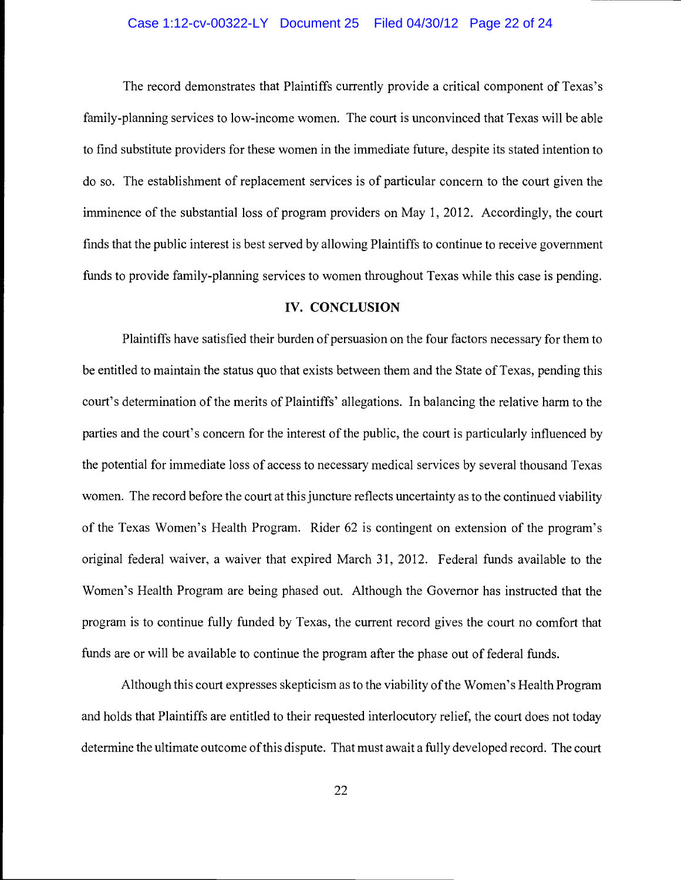#### Case 1:12-cv-00322-LY Document 25 Filed 04/30/12 Page 22 of 24

The record demonstrates that Plaintiffs currently provide a critical component of Texas's family-planning services to low-income women. The court is unconvinced that Texas will be able to find substitute providers for these women in the immediate future, despite its stated intention to do so. The establishment of replacement services is of particular concern to the court given the imminence of the substantial loss of program providers on May 1, 2012. Accordingly, the court finds that the public interest is best served by allowing Plaintiffs to continue to receive government funds to provide family-planning services to women throughout Texas while this case is pending.

#### IV. CONCLUSION

Plaintiffs have satisfied their burden of persuasion on the four factors necessary for them to be entitled to maintain the status quo that exists between them and the State of Texas, pending this court's determination of the merits of Plaintiffs' allegations. In balancing the relative harm to the parties and the court's concern for the interest of the public, the court is particularly influenced by the potential for immediate loss of access to necessary medical services by several thousand Texas women. The record before the court at this juncture reflects uncertainty as to the continued viability of the Texas Women's Health Program. Rider 62 is contingent on extension of the program's original federal waiver, a waiver that expired March 31, 2012. Federal funds available to the Women's Health Program are being phased out. Although the Governor has instructed that the program is to continue fully funded by Texas, the current record gives the court no comfort that funds are or will be available to continue the program after the phase out of federal funds.

Although this court expresses skepticism as to the viability of the Women's Health Program and holds that Plaintiffs are entitled to their requested interlocutory relief, the court does not today determine the ultimate outcome of this dispute. That must await a fully developed record. The court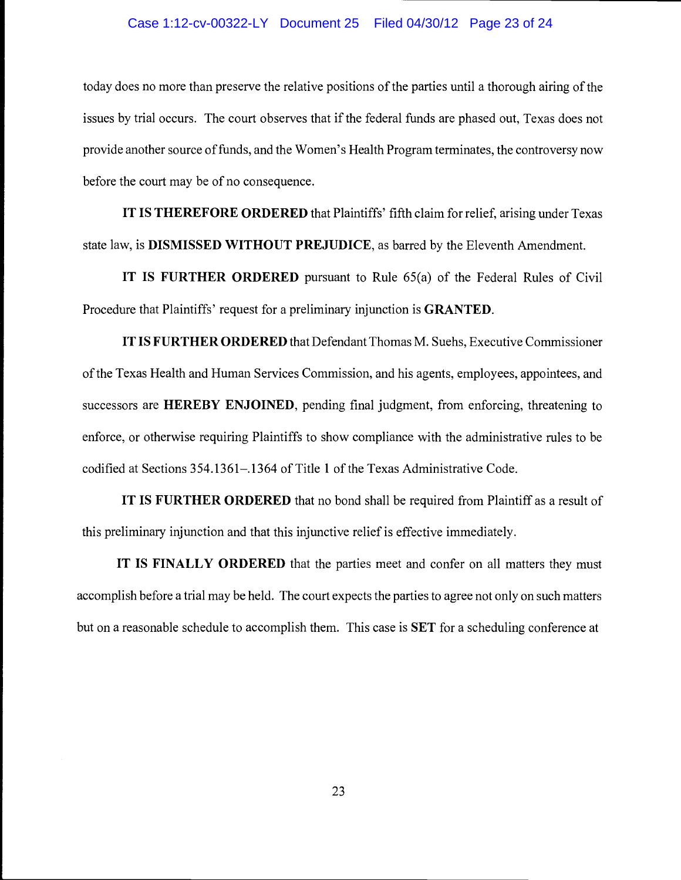#### Case 1:12-cv-00322-LY Document 25 Filed 04/30/12 Page 23 of 24

today does no more than preserve the relative positions of the parties until a thorough airing of the issues by trial occurs. The court observes that if the federal funds are phased out, Texas does not provide another source of funds, and the Women's Health Program terminates, the controversy now before the court may be of no consequence.

IT IS THEREFORE ORDERED that Plaintiffs' fifth claim for relief, arising under Texas state law, is DISMISSED WITHOUT PREJUDICE, as barred by the Eleventh Amendment.

IT IS FURTHER ORDERED pursuant to Rule 65(a) of the Federal Rules of Civil Procedure that Plaintiffs' request for a preliminary injunction is GRANTED.

IT IS FURTHER ORDERED that Defendant Thomas M. Suehs, Executive Commissioner of the Texas Health and Human Services Commission, and his agents, employees, appointees, and successors are HEREBY ENJOINED, pending final judgment, from enforcing, threatening to enforce, or otherwise requiring Plaintiffs to show compliance with the administrative rules to be codified at Sections 354.1361-.1364 of Title 1 of the Texas Administrative Code.

IT IS FURTHER ORDERED that no bond shall be required from Plaintiff as a result of this preliminary injunction and that this injunctive relief is effective immediately.

IT IS FINALLY ORDERED that the parties meet and confer on all matters they must accomplish before a trial may be held. The court expects the parties to agree not only on such matters but on a reasonable schedule to accomplish them. This case is **SET** for a scheduling conference at